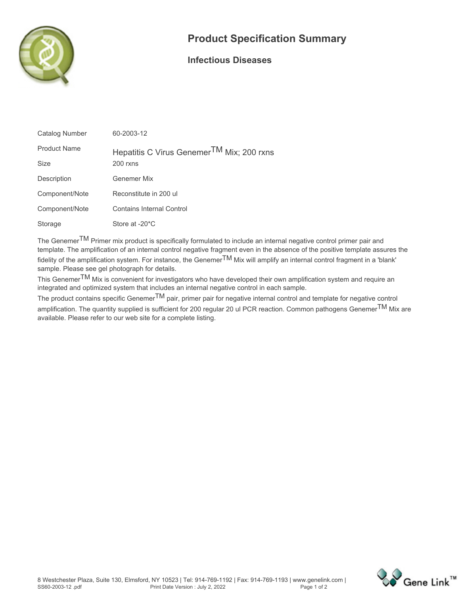

## **Product Specification Summary**

## **Infectious Diseases**

| Catalog Number      | 60-2003-12                                            |
|---------------------|-------------------------------------------------------|
| <b>Product Name</b> | Hepatitis C Virus Genemer <sup>TM</sup> Mix; 200 rxns |
| <b>Size</b>         | $200$ rxns                                            |
| Description         | Genemer Mix                                           |
| Component/Note      | Reconstitute in 200 ul                                |
| Component/Note      | <b>Contains Internal Control</b>                      |
| Storage             | Store at -20 <sup>*</sup> C                           |

**The GenemerTM Primer mix product is specifically formulated to include an internal negative control primer pair and template. The amplification of an internal control negative fragment even in the absence of the positive template assures the fidelity of the amplification system. For instance, the GenemerTM Mix will amplify an internal control fragment in a 'blank' sample. Please see gel photograph for details.**

**This GenemerTM Mix is convenient for investigators who have developed their own amplification system and require an integrated and optimized system that includes an internal negative control in each sample.**

**The product contains specific GenemerTM pair, primer pair for negative internal control and template for negative control amplification. The quantity supplied is sufficient for 200 regular 20 ul PCR reaction. Common pathogens GenemerTM Mix are available. Please refer to our web site for a complete listing.**